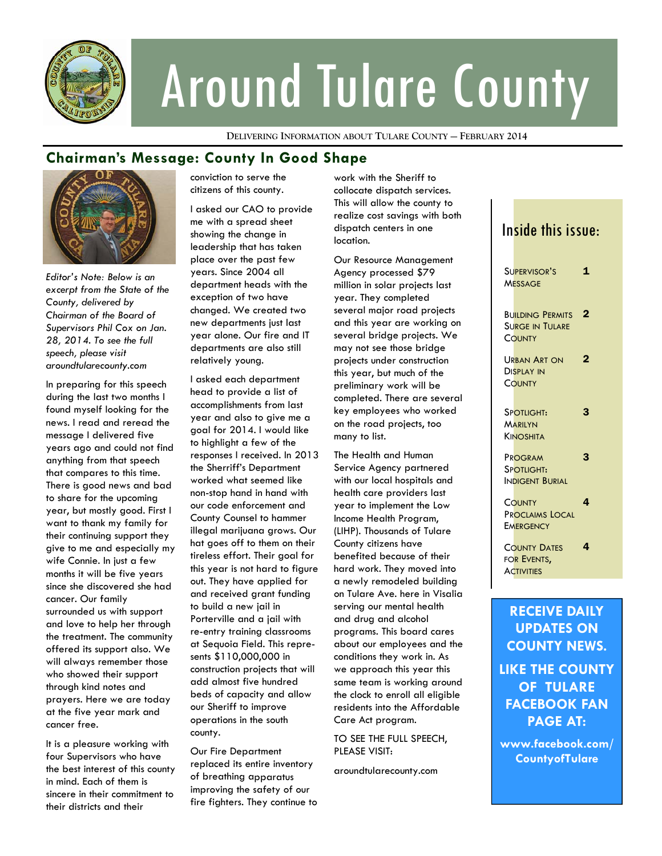

# Around Tulare County

**DELIVERING INFORMATION ABOUT TULARE COUNTY — FEBRUARY 2014**

## **Chairman's Message: County In Good Shape**



*Editor's Note: Below is an excerpt from the State of the County, delivered by Chairman of the Board of Supervisors Phil Cox on Jan. 28, 2014. To see the full speech, please visit aroundtularecounty.com* 

In preparing for this speech during the last two months I found myself looking for the news. I read and reread the message I delivered five years ago and could not find anything from that speech that compares to this time. There is good news and bad to share for the upcoming year, but mostly good. First I want to thank my family for their continuing support they give to me and especially my wife Connie. In just a few months it will be five years since she discovered she had cancer. Our family surrounded us with support and love to help her through the treatment. The community offered its support also. We will always remember those who showed their support through kind notes and prayers. Here we are today at the five year mark and cancer free.

It is a pleasure working with four Supervisors who have the best interest of this county in mind. Each of them is sincere in their commitment to their districts and their

conviction to serve the citizens of this county.

I asked our CAO to provide me with a spread sheet showing the change in leadership that has taken place over the past few years. Since 2004 all department heads with the exception of two have changed. We created two new departments just last year alone. Our fire and IT departments are also still relatively young.

I asked each department head to provide a list of accomplishments from last year and also to give me a goal for 2014. I would like to highlight a few of the responses I received. In 2013 the Sherriff's Department worked what seemed like non-stop hand in hand with our code enforcement and County Counsel to hammer illegal marijuana grows. Our hat goes off to them on their tireless effort. Their goal for this year is not hard to figure out. They have applied for and received grant funding to build a new jail in Porterville and a jail with re-entry training classrooms at Sequoia Field. This represents \$110,000,000 in construction projects that will add almost five hundred beds of capacity and allow our Sheriff to improve operations in the south county.

Our Fire Department replaced its entire inventory of breathing apparatus improving the safety of our fire fighters. They continue to work with the Sheriff to collocate dispatch services. This will allow the county to realize cost savings with both dispatch centers in one location.

Our Resource Management Agency processed \$79 million in solar projects last year. They completed several major road projects and this year are working on several bridge projects. We may not see those bridge projects under construction this year, but much of the preliminary work will be completed. There are several key employees who worked on the road projects, too many to list.

The Health and Human Service Agency partnered with our local hospitals and health care providers last year to implement the Low Income Health Program, (LIHP). Thousands of Tulare County citizens have benefited because of their hard work. They moved into a newly remodeled building on Tulare Ave. here in Visalia serving our mental health and drug and alcohol programs. This board cares about our employees and the conditions they work in. As we approach this year this same team is working around the clock to enroll all eligible residents into the Affordable Care Act program.

TO SEE THE FULL SPEECH, PLEASE VISIT:

aroundtularecounty.com

## Inside this issue:

| SUPERVISOR'S<br><b>MESSAGE</b>                          | $\mathbf{1}$            |
|---------------------------------------------------------|-------------------------|
| <b>BUILDING PERMITS</b><br>Surge in Tulare<br>COUNTY    | $\overline{\mathbf{2}}$ |
| URBAN ART ON<br><b>DISPLAY IN</b><br>COUNTY             | 2                       |
| SPOTLIGHT:<br>MARILYN<br>KINOSHITA                      | 3                       |
| PROGRAM<br>SPOTLIGHT:<br>Indigent Burial                | 3                       |
| COUNTY<br><b>PROCLAIMS LOCAL</b><br><b>EMERGENCY</b>    | 4                       |
| <b>COUNTY DATES</b><br>FOR EVENTS,<br><b>ACTIVITIES</b> | 4                       |

**RECEIVE DAILY UPDATES ON COUNTY NEWS. LIKE THE COUNTY OF TULARE FACEBOOK FAN PAGE AT:** 

**www.facebook.com/ CountyofTulare**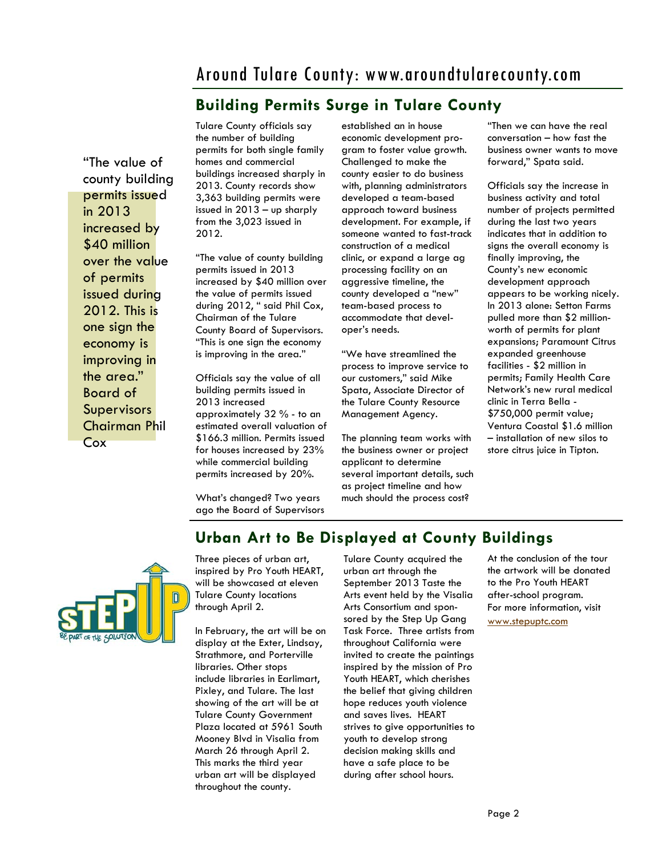# Around Tulare County: www.aroundtularecounty.com

## **Building Permits Surge in Tulare County**

"The value of county building permits issued in 2013 increased by \$40 million over the value of permits issued during 2012. This is one sign the economy is improving in the area." Board of **Supervisors** Chairman Phil Cox

Tulare County officials say the number of building permits for both single family homes and commercial buildings increased sharply in 2013. County records show 3,363 building permits were issued in 2013 – up sharply from the 3,023 issued in 2012.

"The value of county building permits issued in 2013 increased by \$40 million over the value of permits issued during 2012, " said Phil Cox, Chairman of the Tulare County Board of Supervisors. "This is one sign the economy is improving in the area."

Officials say the value of all building permits issued in 2013 increased approximately 32 % - to an estimated overall valuation of \$166.3 million. Permits issued for houses increased by 23% while commercial building permits increased by 20%.

What's changed? Two years ago the Board of Supervisors established an in house economic development program to foster value growth. Challenged to make the county easier to do business with, planning administrators developed a team-based approach toward business development. For example, if someone wanted to fast-track construction of a medical clinic, or expand a large ag processing facility on an aggressive timeline, the county developed a "new" team-based process to accommodate that developer's needs.

"We have streamlined the process to improve service to our customers," said Mike Spata, Associate Director of the Tulare County Resource Management Agency.

The planning team works with the business owner or project applicant to determine several important details, such as project timeline and how much should the process cost?

"Then we can have the real conversation – how fast the business owner wants to move forward," Spata said.

Officials say the increase in business activity and total number of projects permitted during the last two years indicates that in addition to signs the overall economy is finally improving, the County's new economic development approach appears to be working nicely. In 2013 alone: Setton Farms pulled more than \$2 millionworth of permits for plant expansions; Paramount Citrus expanded greenhouse facilities - \$2 million in permits; Family Health Care Network's new rural medical clinic in Terra Bella - \$750,000 permit value; Ventura Coastal \$1.6 million – installation of new silos to store citrus juice in Tipton.



## **Urban Art to Be Displayed at County Buildings**

Three pieces of urban art, inspired by Pro Youth HEART, will be showcased at eleven Tulare County locations through April 2.

In February, the art will be on display at the Exter, Lindsay, Strathmore, and Porterville libraries. Other stops include libraries in Earlimart, Pixley, and Tulare. The last showing of the art will be at Tulare County Government Plaza located at 5961 South Mooney Blvd in Visalia from March 26 through April 2. This marks the third year urban art will be displayed throughout the county.

Tulare County acquired the urban art through the September 2013 Taste the Arts event held by the Visalia Arts Consortium and sponsored by the Step Up Gang Task Force. Three artists from throughout California were invited to create the paintings inspired by the mission of Pro Youth HEART, which cherishes the belief that giving children hope reduces youth violence and saves lives. HEART strives to give opportunities to youth to develop strong decision making skills and have a safe place to be during after school hours.

#### At the conclusion of the tour the artwork will be donated to the Pro Youth HEART after-school program. For more information, visit [www.stepuptc.com](http://www.stepuptc.com)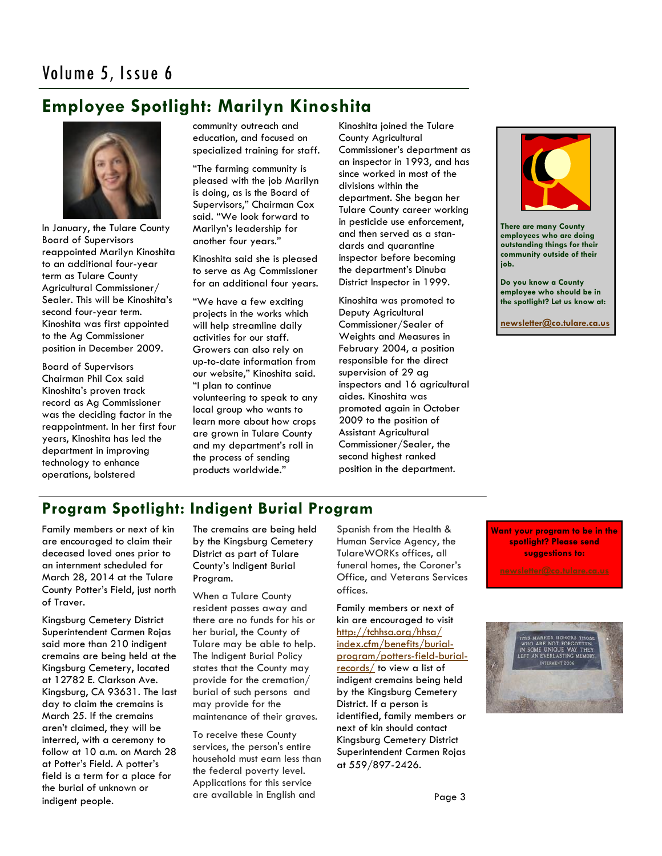# **Employee Spotlight: Marilyn Kinoshita**



In January, the Tulare County Board of Supervisors reappointed Marilyn Kinoshita to an additional four-year term as Tulare County Agricultural Commissioner/ Sealer. This will be Kinoshita's second four-year term. Kinoshita was first appointed to the Ag Commissioner position in December 2009.

Board of Supervisors Chairman Phil Cox said Kinoshita's proven track record as Ag Commissioner was the deciding factor in the reappointment. In her first four years, Kinoshita has led the department in improving technology to enhance operations, bolstered

community outreach and education, and focused on specialized training for staff.

"The farming community is pleased with the job Marilyn is doing, as is the Board of Supervisors," Chairman Cox said. "We look forward to Marilyn's leadership for another four years."

Kinoshita said she is pleased to serve as Ag Commissioner for an additional four years.

"We have a few exciting projects in the works which will help streamline daily activities for our staff. Growers can also rely on up-to-date information from our website," Kinoshita said. "I plan to continue volunteering to speak to any local group who wants to learn more about how crops are grown in Tulare County and my department's roll in the process of sending products worldwide."

Kinoshita joined the Tulare County Agricultural Commissioner's department as an inspector in 1993, and has since worked in most of the divisions within the department. She began her Tulare County career working in pesticide use enforcement, and then served as a standards and quarantine inspector before becoming the department's Dinuba District Inspector in 1999.

Kinoshita was promoted to Deputy Agricultural Commissioner/Sealer of Weights and Measures in February 2004, a position responsible for the direct supervision of 29 ag inspectors and 16 agricultural aides. Kinoshita was promoted again in October 2009 to the position of Assistant Agricultural Commissioner/Sealer, the second highest ranked position in the department.



**There are many County employees who are doing outstanding things for their community outside of their job.** 

**Do you know a County employee who should be in the spotlight? Let us know at:** 

**[newsletter@co.tulare.ca.us](mailto:newsletter@co.tulare.ca.us?subject=Employee%20spotlight)**

## **Program Spotlight: Indigent Burial Program**

Family members or next of kin are encouraged to claim their deceased loved ones prior to an internment scheduled for March 28, 2014 at the Tulare County Potter's Field, just north of Traver.

Kingsburg Cemetery District Superintendent Carmen Rojas said more than 210 indigent cremains are being held at the Kingsburg Cemetery, located at 12782 E. Clarkson Ave. Kingsburg, CA 93631. The last day to claim the cremains is March 25. If the cremains aren't claimed, they will be interred, with a ceremony to follow at 10 a.m. on March 28 at Potter's Field. A potter's field is a term for a place for the burial of unknown or indigent people.

The cremains are being held by the Kingsburg Cemetery District as part of Tulare County's Indigent Burial Program.

When a Tulare County resident passes away and there are no funds for his or her burial, the County of Tulare may be able to help. The Indigent Burial Policy states that the County may provide for the cremation/ burial of such persons and may provide for the maintenance of their graves.

To receive these County services, the person's entire household must earn less than the federal poverty level. Applications for this service are available in English and

Spanish from the Health & Human Service Agency, the TulareWORKs offices, all funeral homes, the Coroner's Office, and Veterans Services offices.

Family members or next of kin are encouraged to visit [http://tchhsa.org/hhsa/](http://tchhsa.org/hhsa/index.cfm/benefits/burial-program/potters-field-burial-records/) [index.cfm/benefits/burial](http://tchhsa.org/hhsa/index.cfm/benefits/burial-program/potters-field-burial-records/)[program/potters-field-burial](http://tchhsa.org/hhsa/index.cfm/benefits/burial-program/potters-field-burial-records/)[records/](http://tchhsa.org/hhsa/index.cfm/benefits/burial-program/potters-field-burial-records/) to view a list of indigent cremains being held by the Kingsburg Cemetery District. If a person is identified, family members or next of kin should contact Kingsburg Cemetery District Superintendent Carmen Rojas at 559/897-2426.

**Want your program to be in the spotlight? Please send suggestions to:**